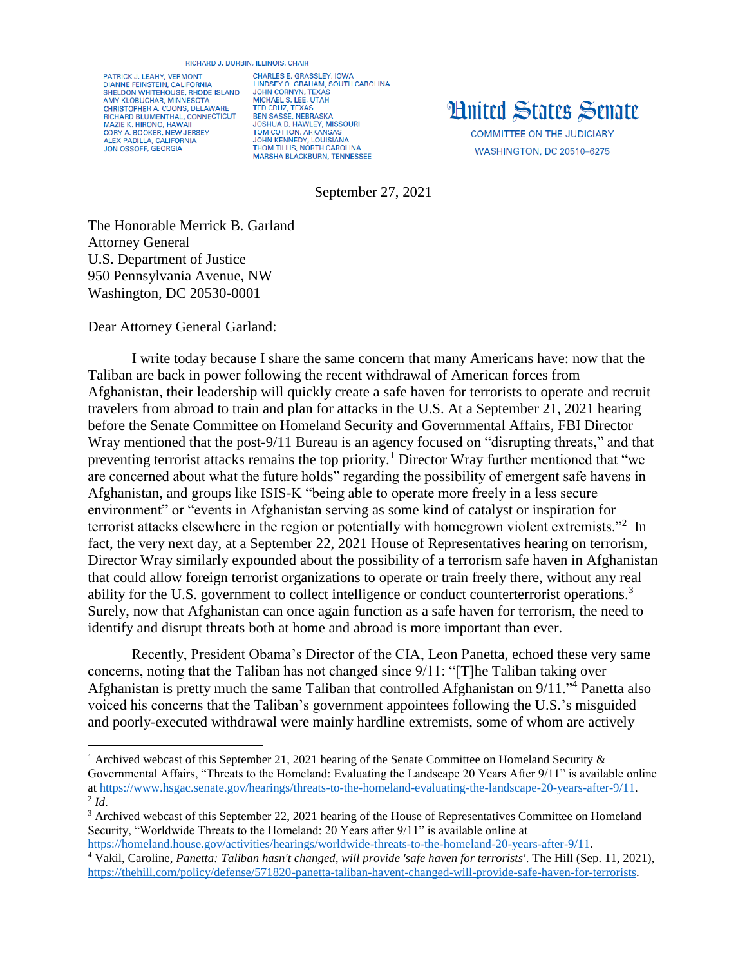## RICHARD J. DURBIN, ILLINOIS, CHAIR

PATRICK J. LEAHY, VERMONT DIANNE FEINSTEIN, CALIFORNIA<br>SHELDON WHITEHOUSE, RHODE ISLAND **AMY KLOBUCHAR, MINNESOTA<br>CHRISTOPHER A. COONS, DELAWARE** RICHARD BLUMENTHAL, CONNECTICUT **MAZIE K. HIRONO, HAWAII** CORY A. BOOKER, NEW JERSEY<br>ALEX PADILLA, CALIFORNIA JON OSSOFF, GEORGIA

**CHARLES E. GRASSLEY, IOWA** LINDSEY O. GRAHAM, SOUTH CAROLINA<br>JOHN CORNYN, TEXAS MICHAEL S. LEE, UTAH<br>TED CRUZ, TEXAS **BEN SASSE, NEBRASKA<br>JOSHUA D. HAWLEY, MISSOURI** TOM COTTON, ARKANSAS<br>JOHN KENNEDY, LOUISIANA **THOM TILLIS, NORTH CAROLINA** MARSHA BLACKBURN, TENNESSEE

## **Hnited States Senate**

**COMMITTEE ON THE JUDICIARY WASHINGTON, DC 20510-6275** 

September 27, 2021

The Honorable Merrick B. Garland Attorney General U.S. Department of Justice 950 Pennsylvania Avenue, NW Washington, DC 20530-0001

Dear Attorney General Garland:

 $\overline{a}$ 

I write today because I share the same concern that many Americans have: now that the Taliban are back in power following the recent withdrawal of American forces from Afghanistan, their leadership will quickly create a safe haven for terrorists to operate and recruit travelers from abroad to train and plan for attacks in the U.S. At a September 21, 2021 hearing before the Senate Committee on Homeland Security and Governmental Affairs, FBI Director Wray mentioned that the post-9/11 Bureau is an agency focused on "disrupting threats," and that preventing terrorist attacks remains the top priority.<sup>1</sup> Director Wray further mentioned that "we are concerned about what the future holds" regarding the possibility of emergent safe havens in Afghanistan, and groups like ISIS-K "being able to operate more freely in a less secure environment" or "events in Afghanistan serving as some kind of catalyst or inspiration for terrorist attacks elsewhere in the region or potentially with homegrown violent extremists."<sup>2</sup> In fact, the very next day, at a September 22, 2021 House of Representatives hearing on terrorism, Director Wray similarly expounded about the possibility of a terrorism safe haven in Afghanistan that could allow foreign terrorist organizations to operate or train freely there, without any real ability for the U.S. government to collect intelligence or conduct counterterrorist operations.<sup>3</sup> Surely, now that Afghanistan can once again function as a safe haven for terrorism, the need to identify and disrupt threats both at home and abroad is more important than ever.

Recently, President Obama's Director of the CIA, Leon Panetta, echoed these very same concerns, noting that the Taliban has not changed since 9/11: "[T]he Taliban taking over Afghanistan is pretty much the same Taliban that controlled Afghanistan on 9/11."<sup>4</sup> Panetta also voiced his concerns that the Taliban's government appointees following the U.S.'s misguided and poorly-executed withdrawal were mainly hardline extremists, some of whom are actively

<sup>&</sup>lt;sup>1</sup> Archived webcast of this September 21, 2021 hearing of the Senate Committee on Homeland Security  $\&$ Governmental Affairs, "Threats to the Homeland: Evaluating the Landscape 20 Years After 9/11" is available online a[t https://www.hsgac.senate.gov/hearings/threats-to-the-homeland-evaluating-the-landscape-20-years-after-9/11.](https://www.hsgac.senate.gov/hearings/threats-to-the-homeland-evaluating-the-landscape-20-years-after-9/11)  $^2$  *Id.* 

<sup>&</sup>lt;sup>3</sup> Archived webcast of this September 22, 2021 hearing of the House of Representatives Committee on Homeland Security, "Worldwide Threats to the Homeland: 20 Years after 9/11" is available online at [https://homeland.house.gov/activities/hearings/worldwide-threats-to-the-homeland-20-years-after-9/11.](https://homeland.house.gov/activities/hearings/worldwide-threats-to-the-homeland-20-years-after-9/11)

<sup>4</sup> Vakil, Caroline, *Panetta: Taliban hasn't changed, will provide 'safe haven for terrorists'*. The Hill (Sep. 11, 2021), [https://thehill.com/policy/defense/571820-panetta-taliban-havent-changed-will-provide-safe-haven-for-terrorists.](https://thehill.com/policy/defense/571820-panetta-taliban-havent-changed-will-provide-safe-haven-for-terrorists)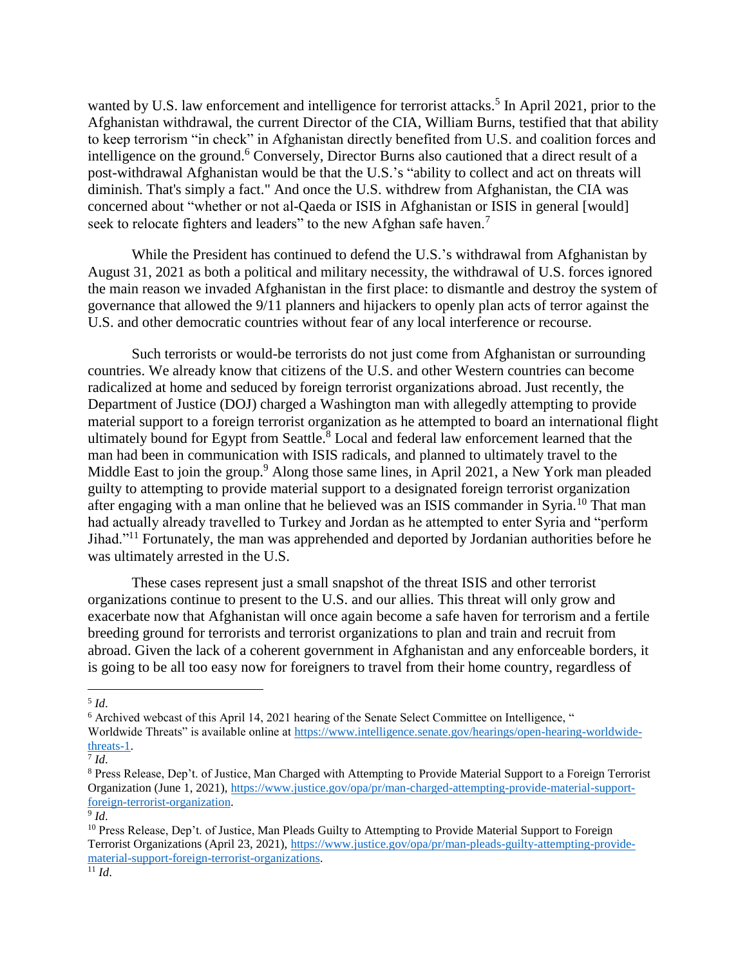wanted by U.S. law enforcement and intelligence for terrorist attacks.<sup>5</sup> In April 2021, prior to the Afghanistan withdrawal, the current Director of the CIA, William Burns, testified that that ability to keep terrorism "in check" in Afghanistan directly benefited from U.S. and coalition forces and intelligence on the ground.<sup>6</sup> Conversely, Director Burns also cautioned that a direct result of a post-withdrawal Afghanistan would be that the U.S.'s "ability to collect and act on threats will diminish. That's simply a fact." And once the U.S. withdrew from Afghanistan, the CIA was concerned about "whether or not al-Qaeda or ISIS in Afghanistan or ISIS in general [would] seek to relocate fighters and leaders" to the new Afghan safe haven.<sup>7</sup>

While the President has continued to defend the U.S.'s withdrawal from Afghanistan by August 31, 2021 as both a political and military necessity, the withdrawal of U.S. forces ignored the main reason we invaded Afghanistan in the first place: to dismantle and destroy the system of governance that allowed the 9/11 planners and hijackers to openly plan acts of terror against the U.S. and other democratic countries without fear of any local interference or recourse.

Such terrorists or would-be terrorists do not just come from Afghanistan or surrounding countries. We already know that citizens of the U.S. and other Western countries can become radicalized at home and seduced by foreign terrorist organizations abroad. Just recently, the Department of Justice (DOJ) charged a Washington man with allegedly attempting to provide material support to a foreign terrorist organization as he attempted to board an international flight ultimately bound for Egypt from Seattle.<sup>8</sup> Local and federal law enforcement learned that the man had been in communication with ISIS radicals, and planned to ultimately travel to the Middle East to join the group.<sup>9</sup> Along those same lines, in April 2021, a New York man pleaded guilty to attempting to provide material support to a designated foreign terrorist organization after engaging with a man online that he believed was an ISIS commander in Syria.<sup>10</sup> That man had actually already travelled to Turkey and Jordan as he attempted to enter Syria and "perform Jihad."<sup>11</sup> Fortunately, the man was apprehended and deported by Jordanian authorities before he was ultimately arrested in the U.S.

These cases represent just a small snapshot of the threat ISIS and other terrorist organizations continue to present to the U.S. and our allies. This threat will only grow and exacerbate now that Afghanistan will once again become a safe haven for terrorism and a fertile breeding ground for terrorists and terrorist organizations to plan and train and recruit from abroad. Given the lack of a coherent government in Afghanistan and any enforceable borders, it is going to be all too easy now for foreigners to travel from their home country, regardless of

 $\overline{a}$ 5 *Id*.

 $6$  Archived webcast of this April 14, 2021 hearing of the Senate Select Committee on Intelligence,  $\cdot$ Worldwide Threats" is available online at [https://www.intelligence.senate.gov/hearings/open-hearing-worldwide](https://www.intelligence.senate.gov/hearings/open-hearing-worldwide-threats-1)[threats-1.](https://www.intelligence.senate.gov/hearings/open-hearing-worldwide-threats-1)

<sup>7</sup> *Id*.

<sup>8</sup> Press Release, Dep't. of Justice, Man Charged with Attempting to Provide Material Support to a Foreign Terrorist Organization (June 1, 2021), [https://www.justice.gov/opa/pr/man-charged-attempting-provide-material-support](https://www.justice.gov/opa/pr/man-charged-attempting-provide-material-support-foreign-terrorist-organization)[foreign-terrorist-organization.](https://www.justice.gov/opa/pr/man-charged-attempting-provide-material-support-foreign-terrorist-organization)

<sup>9</sup> *Id*.

<sup>&</sup>lt;sup>10</sup> Press Release, Dep't. of Justice, Man Pleads Guilty to Attempting to Provide Material Support to Foreign Terrorist Organizations (April 23, 2021), [https://www.justice.gov/opa/pr/man-pleads-guilty-attempting-provide](https://www.justice.gov/opa/pr/man-pleads-guilty-attempting-provide-material-support-foreign-terrorist-organizations)[material-support-foreign-terrorist-organizations.](https://www.justice.gov/opa/pr/man-pleads-guilty-attempting-provide-material-support-foreign-terrorist-organizations)